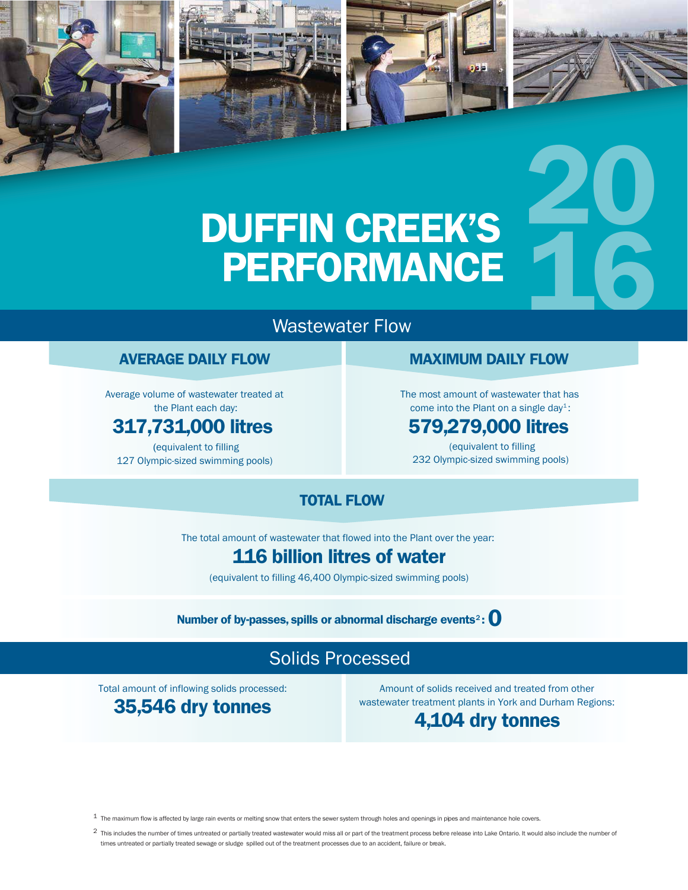

## Wastewater Flow

#### **AVERAGE DAILY FLOW**

Average volume of wastewater treated at the Plant each day:

#### **317,731,000 litres**

(equivalent to filling 127 Olympic-sized swimming pools) **MAXIMUM DAILY FLOW** 

**20**

The most amount of wastewater that has come into the Plant on a single day<sup>1</sup>:

#### **579,279,000 litres**

(equivalent to filling 232 Olympic-sized swimming pools)

#### **TOTAL FLOW**

The total amount of wastewater that flowed into the Plant over the year:

## **116 billion litres of water**

(equivalent to filling 46,400 Olympic-sized swimming pools)

#### **Number of by-passes, spills or abnormal discharge events**<sup>2</sup> **: 0**

## Solids Processed

Total amount of inflowing solids processed: **35,546 dry tonnes**

Amount of solids received and treated from other wastewater treatment plants in York and Durham Regions:

#### **4,104 dry tonnes**

 $1$  The maximum flow is affected by large rain events or melting snow that enters the sewer system through holes and openings in pipes and maintenance hole covers.

2 This includes the number of times untreated or partially treated wastewater would miss all or part of the treatment process before release into Lake Ontario. It would also include the number of times untreated or partially treated sewage or sludge spilled out of the treatment processes due to an accident, failure or break.